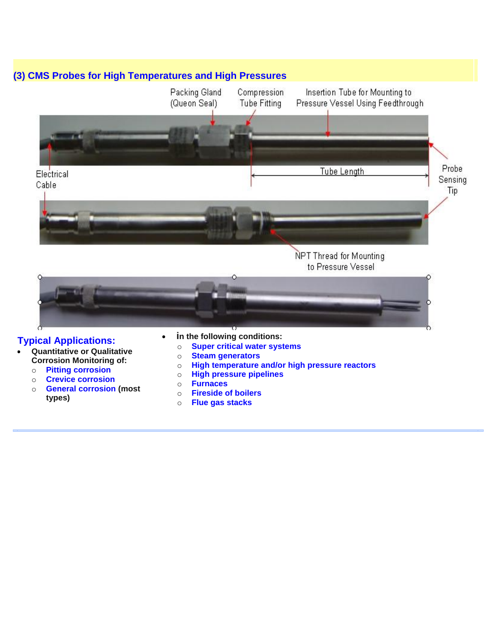

## **Typical Applications:**

- **Quantitative or Qualitative Corrosion Monitoring of:**
	- o **Pitting corrosion**
	- o **Crevice corrosion**
	- o **General corrosion (most types)**
- **in the following conditions:**
	- o **Super critical water systems**
	- o **Steam generators**
	- o **High temperature and/or high pressure reactors**
	- o **High pressure pipelines**
	- o **Furnaces**
	- o **Fireside of boilers**
	- o **Flue gas stacks**